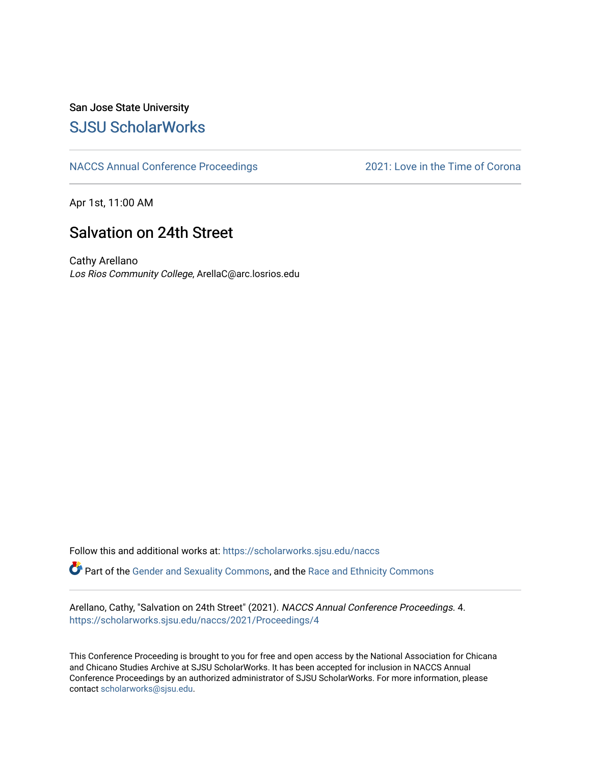## San Jose State University [SJSU ScholarWorks](https://scholarworks.sjsu.edu/)

[NACCS Annual Conference Proceedings](https://scholarworks.sjsu.edu/naccs) [2021: Love in the Time of Corona](https://scholarworks.sjsu.edu/naccs/2021) 

Apr 1st, 11:00 AM

## Salvation on 24th Street

Cathy Arellano Los Rios Community College, ArellaC@arc.losrios.edu

Follow this and additional works at: [https://scholarworks.sjsu.edu/naccs](https://scholarworks.sjsu.edu/naccs?utm_source=scholarworks.sjsu.edu%2Fnaccs%2F2021%2FProceedings%2F4&utm_medium=PDF&utm_campaign=PDFCoverPages) 

Part of the [Gender and Sexuality Commons](http://network.bepress.com/hgg/discipline/420?utm_source=scholarworks.sjsu.edu%2Fnaccs%2F2021%2FProceedings%2F4&utm_medium=PDF&utm_campaign=PDFCoverPages), and the [Race and Ethnicity Commons](http://network.bepress.com/hgg/discipline/426?utm_source=scholarworks.sjsu.edu%2Fnaccs%2F2021%2FProceedings%2F4&utm_medium=PDF&utm_campaign=PDFCoverPages) 

Arellano, Cathy, "Salvation on 24th Street" (2021). NACCS Annual Conference Proceedings. 4. [https://scholarworks.sjsu.edu/naccs/2021/Proceedings/4](https://scholarworks.sjsu.edu/naccs/2021/Proceedings/4?utm_source=scholarworks.sjsu.edu%2Fnaccs%2F2021%2FProceedings%2F4&utm_medium=PDF&utm_campaign=PDFCoverPages) 

This Conference Proceeding is brought to you for free and open access by the National Association for Chicana and Chicano Studies Archive at SJSU ScholarWorks. It has been accepted for inclusion in NACCS Annual Conference Proceedings by an authorized administrator of SJSU ScholarWorks. For more information, please contact [scholarworks@sjsu.edu.](mailto:scholarworks@sjsu.edu)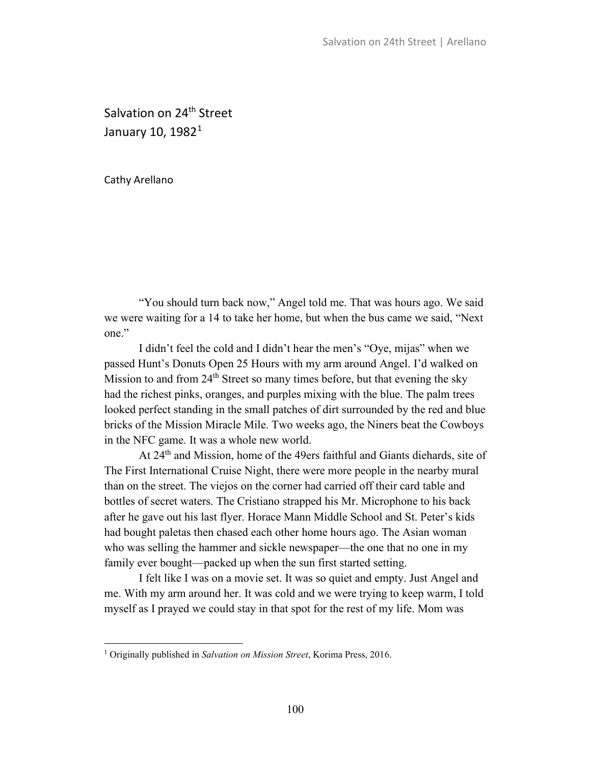Salvation on 24<sup>th</sup> Street January [1](#page-1-0)0,  $1982<sup>1</sup>$ 

Cathy Arellano

"You should turn back now," Angel told me. That was hours ago. We said we were waiting for a 14 to take her home, but when the bus came we said, "Next one."

I didn't feel the cold and I didn't hear the men's "Oye, mijas" when we passed Hunt's Donuts Open 25 Hours with my arm around Angel. I'd walked on Mission to and from  $24<sup>th</sup>$  Street so many times before, but that evening the sky had the richest pinks, oranges, and purples mixing with the blue. The palm trees looked perfect standing in the small patches of dirt surrounded by the red and blue bricks of the Mission Miracle Mile. Two weeks ago, the Niners beat the Cowboys in the NFC game. It was a whole new world.

At 24th and Mission, home of the 49ers faithful and Giants diehards, site of The First International Cruise Night, there were more people in the nearby mural than on the street. The viejos on the corner had carried off their card table and bottles of secret waters. The Cristiano strapped his Mr. Microphone to his back after he gave out his last flyer. Horace Mann Middle School and St. Peter's kids had bought paletas then chased each other home hours ago. The Asian woman who was selling the hammer and sickle newspaper—the one that no one in my family ever bought—packed up when the sun first started setting.

I felt like I was on a movie set. It was so quiet and empty. Just Angel and me. With my arm around her. It was cold and we were trying to keep warm, I told myself as I prayed we could stay in that spot for the rest of my life. Mom was

<span id="page-1-0"></span><sup>1</sup> Originally published in *Salvation on Mission Street*, Korima Press, 2016.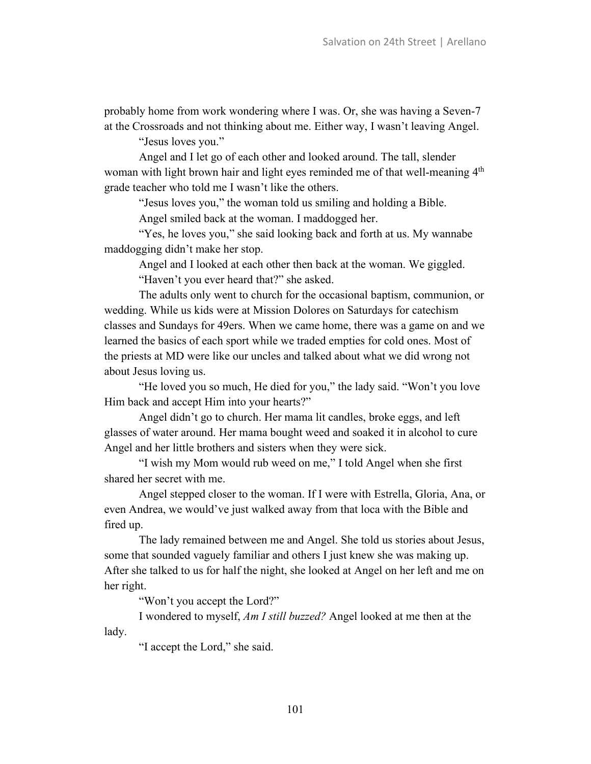probably home from work wondering where I was. Or, she was having a Seven-7 at the Crossroads and not thinking about me. Either way, I wasn't leaving Angel.

"Jesus loves you."

Angel and I let go of each other and looked around. The tall, slender woman with light brown hair and light eyes reminded me of that well-meaning 4<sup>th</sup> grade teacher who told me I wasn't like the others.

"Jesus loves you," the woman told us smiling and holding a Bible.

Angel smiled back at the woman. I maddogged her.

"Yes, he loves you," she said looking back and forth at us. My wannabe maddogging didn't make her stop.

Angel and I looked at each other then back at the woman. We giggled.

"Haven't you ever heard that?" she asked.

The adults only went to church for the occasional baptism, communion, or wedding. While us kids were at Mission Dolores on Saturdays for catechism classes and Sundays for 49ers. When we came home, there was a game on and we learned the basics of each sport while we traded empties for cold ones. Most of the priests at MD were like our uncles and talked about what we did wrong not about Jesus loving us.

"He loved you so much, He died for you," the lady said. "Won't you love Him back and accept Him into your hearts?"

Angel didn't go to church. Her mama lit candles, broke eggs, and left glasses of water around. Her mama bought weed and soaked it in alcohol to cure Angel and her little brothers and sisters when they were sick.

"I wish my Mom would rub weed on me," I told Angel when she first shared her secret with me.

Angel stepped closer to the woman. If I were with Estrella, Gloria, Ana, or even Andrea, we would've just walked away from that loca with the Bible and fired up.

The lady remained between me and Angel. She told us stories about Jesus, some that sounded vaguely familiar and others I just knew she was making up. After she talked to us for half the night, she looked at Angel on her left and me on her right.

"Won't you accept the Lord?"

I wondered to myself, *Am I still buzzed?* Angel looked at me then at the lady.

"I accept the Lord," she said.